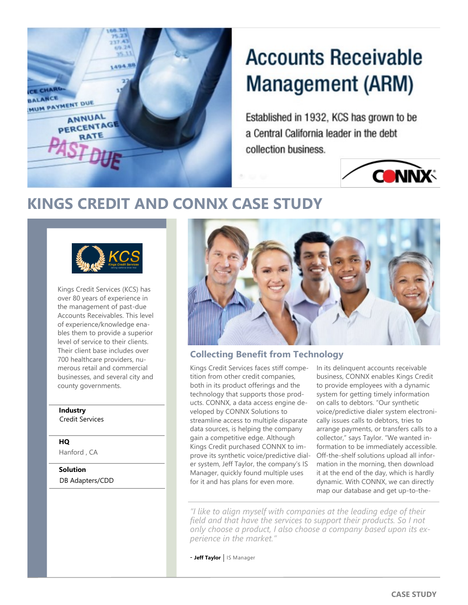

# **Accounts Receivable Management (ARM)**

Established in 1932, KCS has grown to be a Central California leader in the debt collection business.



# **KINGS CREDIT AND CONNX CASE STUDY**



Kings Credit Services (KCS) has over 80 years of experience in the management of past-due Accounts Receivables. This level of experience/knowledge enables them to provide a superior level of service to their clients. Their client base includes over 700 healthcare providers, numerous retail and commercial businesses, and several city and county governments.

# **Industry**

Credit Services

**HQ**

Hanford , CA

**Solution** DB Adapters/CDD



## **Collecting Benefit from Technology**

Kings Credit Services faces stiff competition from other credit companies, both in its product offerings and the technology that supports those products. CONNX, a data access engine developed by CONNX Solutions to streamline access to multiple disparate data sources, is helping the company gain a competitive edge. Although Kings Credit purchased CONNX to improve its synthetic voice/predictive dialer system, Jeff Taylor, the company's IS Manager, quickly found multiple uses for it and has plans for even more.

In its delinquent accounts receivable business, CONNX enables Kings Credit to provide employees with a dynamic system for getting timely information on calls to debtors. "Our synthetic voice/predictive dialer system electronically issues calls to debtors, tries to arrange payments, or transfers calls to a collector," says Taylor. "We wanted information to be immediately accessible. Off-the-shelf solutions upload all information in the morning, then download it at the end of the day, which is hardly dynamic. With CONNX, we can directly map our database and get up-to-the-

*"I like to align myself with companies at the leading edge of their field and that have the services to support their products. So I not only choose a product, I also choose a company based upon its experience in the market."*

- **Jeff Taylor** IS Manager